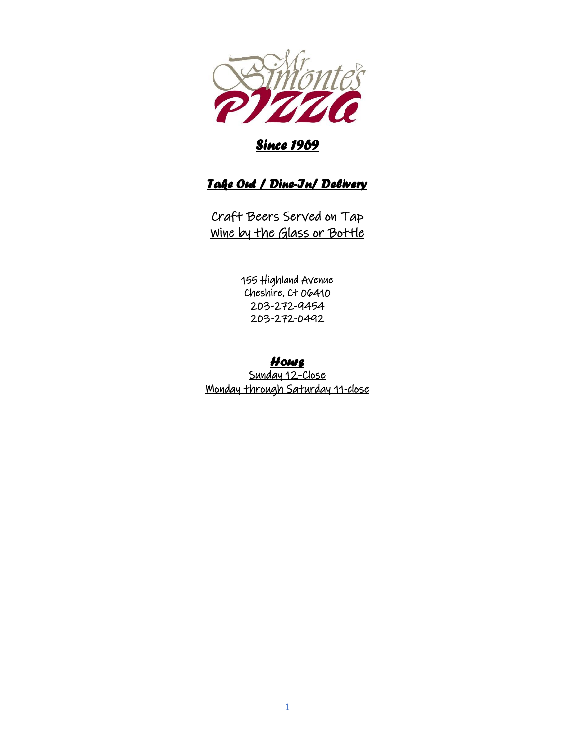

# *Since 1969*

# *Take Out / Dine-In/ Delivery*

Craft Beers Served on Tap Wine by the Glass or Bottle

> 155 Highland Avenue Cheshire, Ct 06410 203-272-9454 203-272-0492

# *Hours*

Sunday 12-Close Monday through Saturday 11-close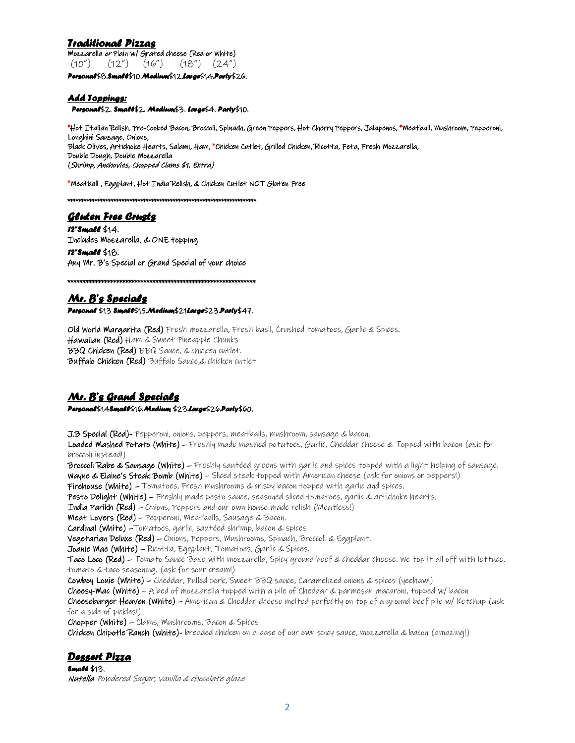## *Traditional Pizzas*

Mozzarella or Plain w/ Grated cheese (Red or White) (10") (12") (16") (18") (24") *Personal*\$8.*Small*\$10.*Medium*\$12.*Large*\$14.*Party*\$26.

### *Add Toppings:*

 *Personal*\$2. *Small*\$2. *Medium*\$3. *Large*\$4. *Party*\$10.

\*Hot Italian Relish, Pre-Cooked Bacon, Broccoli, Spinach, Green Peppers, Hot Cherry Peppers, Jalapenos, \*Meatball, Mushroom, Pepperoni, Longhini Sausage, Onions, Black Olives, Artichoke Hearts, Salami, Ham, \*Chicken Cutlet, Grilled Chicken, Ricotta, Feta, Fresh Mozzarella, Double Dough. Double Mozzarella (Shrimp, Anchovies, Chopped Clams \$1. Extra)

\*Meatball , Eggplant, Hot India Relish, & Chicken Cutlet NOT Gluten Free

\*\*\*\*\*\*\*\*\*\*\*\*\*\*\*\*\*\*\*\*\*\*\*\*\*\*\*\*\*\*\*\*\*\*\*\*\*\*\*\*\*\*\*\*\*\*\*\*\*\*\*\*\*\*\*\*\*\*\*\*\*\*\*\*\*\*\*\*\*\*

### *Gluten Free Crusts*

*12"Small* \$14. Includes Mozzarella, & ONE topping

*12"Small* \$18. Any Mr. B's Special or Grand Special of your choice

\*\*\*\*\*\*\*\*\*\*\*\*\*\*\*\*\*\*\*\*\*\*\*\*\*\*\*\*\*\*\*\*\*\*\*\*\*\*\*\*\*\*\*\*\*\*\*\*\*\*\*\*\*\*\*\*\*\*\*\*\*\*

# *Mr. B's Specials Personal* \$13 *Small*\$15.*Medium*\$21*Large*\$23.*Party*\$47.

Old World Margarita (Red) Fresh mozzarella, Fresh basil, Crushed tomatoes, Garlic & Spices. Hawaiian (Red) Ham & Sweet Pineapple Chunks BBQ Chicken (Red) BBQ Sauce, & chicken cutlet. Buffalo Chicken (Red) Buffalo Sauce,& chicken cutlet

# *Mr. B's Grand Specials*

*Personal*\$14*Small*\$16.*Medium* \$23*.Large*\$26.*Party*\$60.

J.B Special (Red)- Pepperoni, onions, peppers, meatballs, mushroom, sausage & bacon.

Loaded Mashed Potato (White) – Freshly made mashed potatoes, Garlic, Cheddar cheese & Topped with bacon (ask for broccoli instead!)

Broccoli Rabe & Sausage (White) – Freshly sautéed greens with garlic and spices topped with a light helping of sausage. Wayne & Elaine's Steak Bomb (White) – Sliced steak topped with American cheese (ask for onions or peppers!)

Firehouse (white) – Tomatoes, Fresh mushrooms & crispy bacon topped with garlic and spices.

Pesto Delight (White) – Freshly made pesto sauce, seasoned sliced tomatoes, garlic & artichoke hearts.

**India Parikh (Red)** – Onions, Peppers and our own house made relish (Meatless!)

**Meat Lovers (Red)** – Pepperoni, Meatballs, Sausage & Bacon.

Cardinal (White) –Tomatoes, garlic, sautéed shrimp, bacon & spices

Vegetarian Deluxe (Red) – Onions, Peppers, Mushrooms, Spinach, Broccoli & Eggplant.

Joanie Mae (White) – Ricotta, Eggplant, Tomatoes, Garlic & Spices.

Taco Loco (Red) – Tomato Sauce Base with mozzarella, Spicy ground beef & cheddar cheese. We top it all off with lettuce, tomato & taco seasoning. (ask for sour cream!)

Cowboy Louie (White) – Cheddar, Pulled pork, Sweet BBQ sauce, Caramelized onions & spices (yeehaw!)

Cheesy-Mac (White) – A bed of mozzarella topped with a pile of Cheddar & parmesan macaroni, topped w/ bacon

Cheeseburger Heaven (White) – American & Cheddar cheese melted perfectly on top of a ground beef pile w/ Ketchup (ask for a side of pickles!)

Chopper (White) – Clams, Mushrooms, Bacon & Spices

Chicken Chipotle Ranch (white)- breaded chicken on a base of our own spicy sauce, mozzarella & bacon (amazing!)

## *Dessert Pizza*

*Small* \$13. Nutella Powdered Sugar, vanilla & chocolate glaze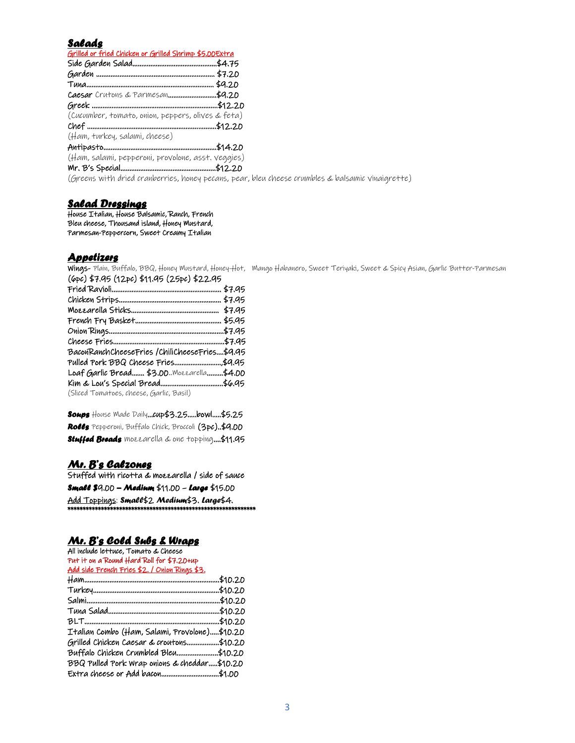### *Salads*

| Grilled or fried Chicken or Grilled Shrimp \$5.00 Extra                                                         |  |
|-----------------------------------------------------------------------------------------------------------------|--|
|                                                                                                                 |  |
|                                                                                                                 |  |
|                                                                                                                 |  |
|                                                                                                                 |  |
|                                                                                                                 |  |
| (Cucumber, tomato, onion, peppers, olives & feta)                                                               |  |
|                                                                                                                 |  |
| (Ham, turkey, salami, cheese)                                                                                   |  |
|                                                                                                                 |  |
| (Ham, salami, pepperoni, provolone, asst. veggies)                                                              |  |
|                                                                                                                 |  |
| the contract of the contract of the contract of the contract of the contract of the contract of the contract of |  |

(Greens with dried cranberries, honey pecans, pear, bleu cheese crumbles & balsamic vinaigrette)

#### *Salad Dressings*

House Italian, House Balsamic, Ranch, French Bleu cheese, Thousand island, Honey Mustard, Parmesan-Peppercorn, Sweet Creamy Italian

## *Appetizers*

Wings- Plain, Buffalo, BBQ, Honey Mustard, Honey-Hot, Mango Habanero, Sweet Teriyaki, Sweet & Spicy Asian, Garlic Butter-Parmesan (6pc) \$7.95 (12pc) \$11.95 (25pc) \$22.95

| BaconRanchCheeseFries/ChiliCheeseFries\$9.95 |  |
|----------------------------------------------|--|
| Pulled Pork BBQ Cheese Fries\$9.95           |  |
| Loaf Garlic Bread \$3.00. Mozzarella\$4.00   |  |
|                                              |  |
| (Sliced Tomatoes, cheese, Garlic, Basil)     |  |

*Soups* House Made Daily…cup\$3.25…..bowl…..\$5.25 *Rolls* Pepperoni, Buffalo Chick, Broccoli (3pc)..\$9.00 *Stuffed Breads* mozzarella & one topping.…\$11.95

#### *Mr. B's Calzones*

Stuffed with ricotta & mozzarella / side of sauce *Small \$*9.00 *– Medium* \$11.00 – *Large* \$15.00 Add Toppings: *Small*\$2 *Medium*\$3. *Large*\$4. \*\*\*\*\*\*\*\*\*\*\*\*\*\*\*\*\*\*\*\*\*\*\*\*\*\*\*\*\*\*\*\*\*\*\*

# *Mr. B's Cold Subs & Wraps*

| All include lettuce, Tomato & Cheese          |         |
|-----------------------------------------------|---------|
| Put it on a Round Hard Roll for \$7.20+up     |         |
| Add side French Fries \$2. / Onion Rings \$3. |         |
|                                               | \$10.20 |
|                                               |         |
|                                               |         |
|                                               |         |
|                                               |         |
| Italian Combo (Ham, Salami, Provolone)\$10.20 |         |
| Grilled Chicken Caesar & croutons\$10.20      |         |
| Buffalo Chicken Crumbled Bleu\$10.20          |         |
| BBQ Pulled Pork Wrap onions & cheddar\$10.20  |         |
| Extra cheese or Add bacon\$1.00               |         |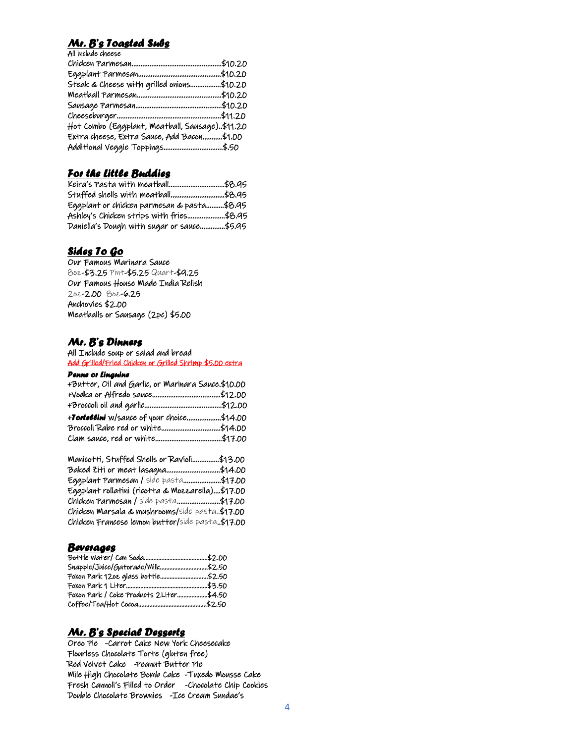## *Mr. B's Toasted Subs*

All include cheese

| Steak & Cheese with grilled onions\$10.20      |  |
|------------------------------------------------|--|
|                                                |  |
|                                                |  |
|                                                |  |
| Hot Combo (Eggplant, Meatball, Sausage)\$11.20 |  |
| Extra cheese, Extra Sauce, Add Bacon\$1.00     |  |
| Additional Veggie Toppings\$.50                |  |

# *For the Little Buddies*

| Stuffed shells with meatball\$8.95         |  |
|--------------------------------------------|--|
| Eggplant or chicken parmesan & pasta\$8.95 |  |
| Ashley's Chicken strips with fries\$8.95   |  |
| Daniella's Dough with sugar or sauce\$5.95 |  |

## *Sides To Go*

Our Famous Marinara Sauce 8oz-\$3.25 Pint-\$5.25 Quart-\$9.25 Our Famous House Made India Relish 2oz-2.00 8oz-6.25 Anchovies \$2.00 Meatballs or Sausage (2pc) \$5.00

### *Mr. B's Dinners*

All Include soup or salad and bread Add Grilled/Fried Chicken or Grilled Shrimp \$5.00 extra

#### *Penne or Linguine*

| +Butter, Oil and Garlic, or Marinara Sauce.\$10.00 |  |
|----------------------------------------------------|--|
|                                                    |  |
|                                                    |  |
| +Tortollini w/sauce of your choice\$14.00          |  |
|                                                    |  |
|                                                    |  |

| Manicotti, Stuffed Shells or Ravioli\$13.00      |  |
|--------------------------------------------------|--|
| Baked Ziti or meat lasagna\$14.00                |  |
| Eggplant Parmesan / side pasta\$17.00            |  |
| Eggplant rollatini (ricotta & Mozzarella)\$17.00 |  |
| Chicken Parmesan / side pasta\$17.00             |  |
| Chicken Marsala & mushrooms/side pasta.\$17.00   |  |
| Chicken Francese lemon butter/side pasta.\$17.00 |  |

### *Beverages*

| Snapple/Juice/Gatorade/Milk\$2.50       |  |
|-----------------------------------------|--|
| Foxon Park 1202 glass bottle\$2.50      |  |
|                                         |  |
| Foxon Park / Coke Products 2Liter\$4.50 |  |
|                                         |  |

## *Mr. B's Special Desserts*

Oreo Pie -Carrot Cake New York Cheesecake Flourless Chocolate Torte (gluten free) Red Velvet Cake -Peanut Butter Pie Mile High Chocolate Bomb Cake -Tuxedo Mousse Cake Fresh Cannoli's Filled to Order -Chocolate Chip Cookies Double Chocolate Brownies -Ice Cream Sundae's